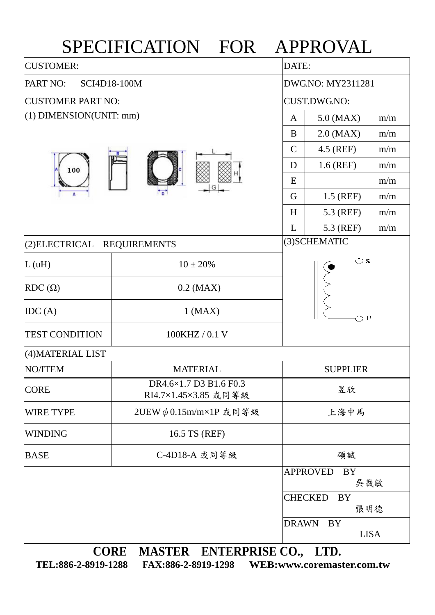## SPECIFICATION FOR APPROVAL CUSTOMER: DATE: PART NO: SCI4D18-100M DWG.NO: MY2311281 CUSTOMER PART NO: CUST.DWG.NO: (1) DIMENSION(UNIT: mm)  $A \begin{bmatrix} A & 5.0 \end{bmatrix} (MAX)$  m/m  $B$  2.0 (MAX) m/m  $C \mid 4.5$  (REF) m/m  $D \mid 1.6$  (REF) m/m 100  $E \parallel m/m$ G 1.5 (REF)  $m/m$  $H$  5.3 (REF) m/m  $L \t 5.3 (REF) m/m$ (2)ELECTRICAL REQUIREMENTS (3)SCHEMATIC  $\bigcirc$  s L (uH)  $10 \pm 20\%$ RDC  $(\Omega)$  0.2 (MAX)  $\text{IDC (A)}$  1 (MAX)  $\bigcirc$  F TEST CONDITION 100KHZ / 0.1 V (4)MATERIAL LIST NO/ITEM MATERIAL SUPPLIER CORE DR4.6×1.7 D3 B1.6 F0.3 RI4.7×1.45×3.85 或同等級 昱欣 WIRE TYPE 2UEW  $\phi$  0.15m/m×1P 或同等級 上海中馬 WINDING 16.5 TS (REF) BASE | C-4D18-A 或同等級 | 碩誠 APPROVED BY 吳載敏 CHECKED BY 張明德 DRAWN BY LISA **CORE MASTER ENTERPRISE CO., LTD.**

**TEL:886-2-8919-1288 FAX:886-2-8919-1298 WEB:www.coremaster.com.tw**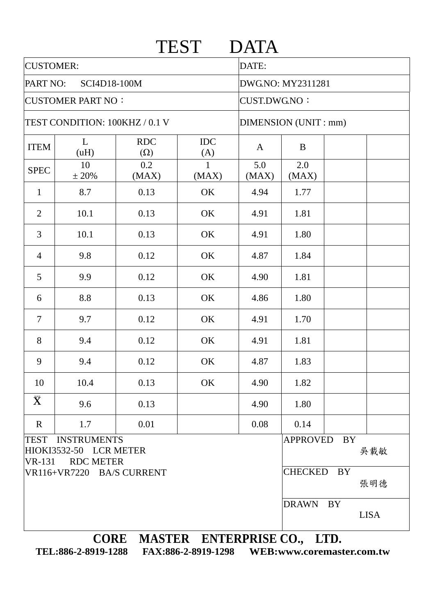|                                |                                                                  |                                  | <b>TEST</b>       | <b>DATA</b>          |                                    |           |             |  |
|--------------------------------|------------------------------------------------------------------|----------------------------------|-------------------|----------------------|------------------------------------|-----------|-------------|--|
| <b>CUSTOMER:</b>               |                                                                  | DATE:                            |                   |                      |                                    |           |             |  |
| PART NO:<br>SCI4D18-100M       |                                                                  |                                  |                   | DWG.NO: MY2311281    |                                    |           |             |  |
| <b>CUSTOMER PART NO:</b>       |                                                                  |                                  |                   |                      | <b>CUST.DWG.NO:</b>                |           |             |  |
| TEST CONDITION: 100KHZ / 0.1 V |                                                                  |                                  |                   | DIMENSION (UNIT: mm) |                                    |           |             |  |
| <b>ITEM</b>                    | L<br>(uH)                                                        | <b>RDC</b><br>$(\Omega)$         | <b>IDC</b><br>(A) | $\mathbf{A}$         | B                                  |           |             |  |
| <b>SPEC</b>                    | 10<br>± 20%                                                      | 0.2<br>(MAX)                     | 1<br>(MAX)        | 5.0<br>(MAX)         | 2.0<br>(MAX)                       |           |             |  |
| $\mathbf{1}$                   | 8.7                                                              | 0.13                             | OK                | 4.94                 | 1.77                               |           |             |  |
| 2                              | 10.1                                                             | 0.13                             | OK                | 4.91                 | 1.81                               |           |             |  |
| 3                              | 10.1                                                             | 0.13                             | OK                | 4.91                 | 1.80                               |           |             |  |
| $\overline{4}$                 | 9.8                                                              | 0.12                             | OK                | 4.87                 | 1.84                               |           |             |  |
| 5                              | 9.9                                                              | 0.12                             | OK                | 4.90                 | 1.81                               |           |             |  |
| 6                              | 8.8                                                              | 0.13                             | OK                | 4.86                 | 1.80                               |           |             |  |
| $\overline{7}$                 | 9.7                                                              | 0.12                             | OK                | 4.91                 | 1.70                               |           |             |  |
| 8                              | 9.4                                                              | 0.12                             | OK                | 4.91                 | 1.81                               |           |             |  |
| 9                              | 9.4                                                              | 0.12                             | OK                | 4.87                 | 1.83                               |           |             |  |
| 10                             | 10.4                                                             | 0.13                             | OK                | 4.90                 | 1.82                               |           |             |  |
| $\bar{\mathbf{X}}$             | 9.6                                                              | 0.13                             |                   | 4.90                 | 1.80                               |           |             |  |
| $\mathbf R$                    | 1.7                                                              | 0.01                             |                   | 0.08                 | 0.14                               |           |             |  |
| <b>TEST</b><br><b>VR-131</b>   | <b>INSTRUMENTS</b><br>HIOKI3532-50 LCR METER<br><b>RDC METER</b> |                                  |                   |                      | APPROVED                           | BY        | 吳載敏         |  |
| VR116+VR7220 BA/S CURRENT      |                                                                  |                                  |                   |                      | <b>CHECKED</b><br><b>BY</b><br>張明德 |           |             |  |
|                                |                                                                  |                                  |                   |                      | <b>DRAWN</b>                       | <b>BY</b> | <b>LISA</b> |  |
|                                |                                                                  | CORE MASTER ENTERPRISE CO., LTD. |                   |                      |                                    |           |             |  |

**TEL:886-2-8919-1288 FAX:886-2-8919-1298 WEB:www.coremaster.com.tw**